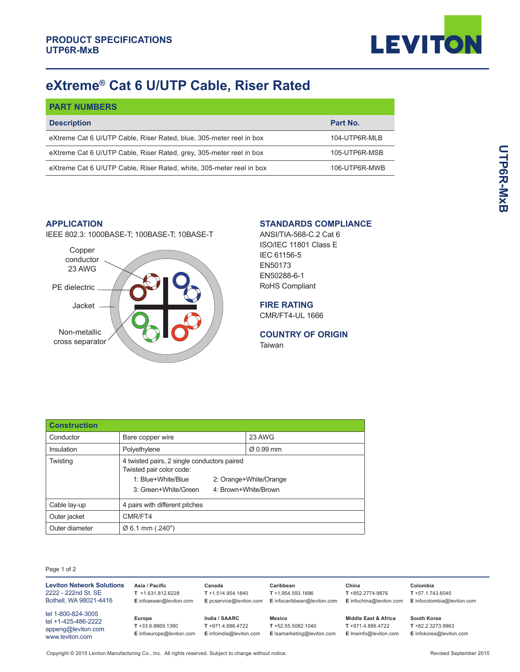

## **eXtreme® Cat 6 U/UTP Cable, Riser Rated**

| <b>PART NUMBERS</b>                                                  |               |
|----------------------------------------------------------------------|---------------|
| <b>Description</b>                                                   | Part No.      |
| eXtreme Cat 6 U/UTP Cable, Riser Rated, blue, 305-meter reel in box  | 104-UTP6R-MLB |
| eXtreme Cat 6 U/UTP Cable, Riser Rated, grey, 305-meter reel in box  | 105-UTP6R-MSB |
| eXtreme Cat 6 U/UTP Cable, Riser Rated, white, 305-meter reel in box | 106-UTP6R-MWB |

## **APPLICATION**

IEEE 802.3: 1000BASE-T; 100BASE-T; 10BASE-T



## **STANDARDS COMPLIANCE**

ANSI/TIA-568-C.2 Cat 6 ISO/IEC 11801 Class E IEC 61156-5 EN50173 EN50288-6-1 RoHS Compliant

**FIRE RATING**

CMR/FT4-UL 1666

## **COUNTRY OF ORIGIN**

Taiwan

| <b>Construction</b> |                                                                         |                      |                        |  |                       |
|---------------------|-------------------------------------------------------------------------|----------------------|------------------------|--|-----------------------|
| Conductor           | Bare copper wire                                                        |                      | 23 AWG                 |  |                       |
| Insulation          | Polyethylene                                                            |                      |                        |  | $\varnothing$ 0.99 mm |
| Twisting            | 4 twisted pairs, 2 single conductors paired<br>Twisted pair color code: |                      |                        |  |                       |
|                     | 1: Blue+White/Blue                                                      |                      | 2: Orange+White/Orange |  |                       |
|                     | 3: Green+White/Green                                                    | 4: Brown+White/Brown |                        |  |                       |
| Cable lay-up        | 4 pairs with different pitches                                          |                      |                        |  |                       |
| Outer jacket        | CMR/FT4                                                                 |                      |                        |  |                       |
| Outer diameter      | $\varnothing$ 6.1 mm (.240")                                            |                      |                        |  |                       |

Page 1 of 2

| <b>Leviton Network Solutions</b><br>2222 - 222nd St. SE<br>Bothell, WA 98021-4416  | Asia / Pacific<br>$T + 1.631.812.6228$<br>E infoasean@leviton.com | Canada<br>$T + 1.514.954.1840$<br>E pcservice@leviton.com     | Caribbean<br>$T + 1.954.593.1896$<br>E infocaribbean@leviton.com | China<br>T +852.2774.9876<br>E infochina@leviton.com                             | Colombia<br>$T + 57.1.743.6045$<br>E infocolombia@leviton.com  |
|------------------------------------------------------------------------------------|-------------------------------------------------------------------|---------------------------------------------------------------|------------------------------------------------------------------|----------------------------------------------------------------------------------|----------------------------------------------------------------|
| tel 1-800-824-3005<br>tel +1-425-486-2222<br>appeng@leviton.com<br>www.leviton.com | Europe<br>$T + 33.6.8869.1380$<br>E infoeurope@leviton.com        | India / SAARC<br>T +971.4.886.4722<br>E infoindia@leviton.com | Mexico<br>$T + 52.55.5082.1040$<br>E Isamarketing@leviton.com    | <b>Middle East &amp; Africa</b><br>$T + 971.4.886.4722$<br>E Imeinfo@leviton.com | South Korea<br>$T + 82.2.3273.9963$<br>E infokorea@leviton.com |

**UTPGR-MXB UTP6R-MxB**

Copyright © 2015 Leviton Manufacturing Co., Inc. All rights reserved. Subject to change without notice. Revised September 2015